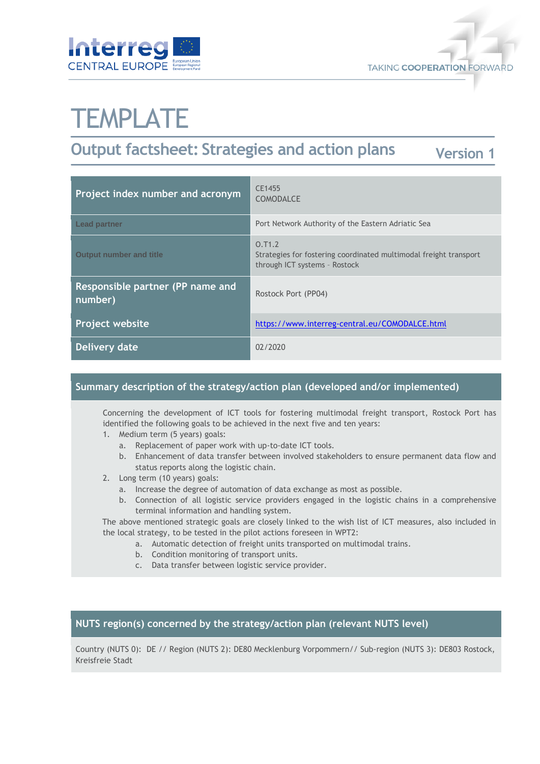



# **TEMPLATE**

#### **Output factsheet: Strategies and action plans Version 1**

| Project index number and acronym            | CE1455<br><b>COMODALCE</b>                                                                                   |
|---------------------------------------------|--------------------------------------------------------------------------------------------------------------|
| <b>Lead partner</b>                         | Port Network Authority of the Eastern Adriatic Sea                                                           |
| <b>Output number and title</b>              | 0.71.2<br>Strategies for fostering coordinated multimodal freight transport<br>through ICT systems - Rostock |
| Responsible partner (PP name and<br>number) | Rostock Port (PP04)                                                                                          |
| <b>Project website</b>                      | https://www.interreg-central.eu/COMODALCE.html                                                               |
| Delivery date                               | 02/2020                                                                                                      |

#### **Summary description of the strategy/action plan (developed and/or implemented)**

Concerning the development of ICT tools for fostering multimodal freight transport, Rostock Port has identified the following goals to be achieved in the next five and ten years:

- 1. Medium term (5 years) goals:
	- a. Replacement of paper work with up-to-date ICT tools.
	- b. Enhancement of data transfer between involved stakeholders to ensure permanent data flow and status reports along the logistic chain.
- 2. Long term (10 years) goals:
	- a. Increase the degree of automation of data exchange as most as possible.
	- b. Connection of all logistic service providers engaged in the logistic chains in a comprehensive terminal information and handling system.

The above mentioned strategic goals are closely linked to the wish list of ICT measures, also included in the local strategy, to be tested in the pilot actions foreseen in WPT2:

- a. Automatic detection of freight units transported on multimodal trains.
- b. Condition monitoring of transport units.
- c. Data transfer between logistic service provider.

#### **NUTS region(s) concerned by the strategy/action plan (relevant NUTS level)**

Country (NUTS 0): DE // Region (NUTS 2): DE80 Mecklenburg Vorpommern// Sub-region (NUTS 3): DE803 Rostock, Kreisfreie Stadt